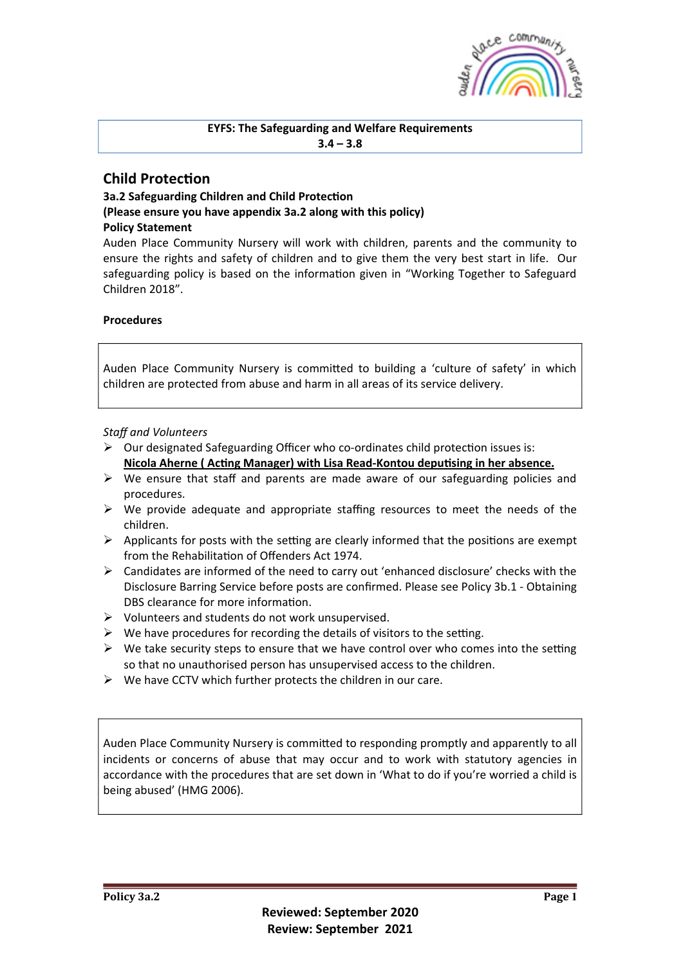

### **EYFS: The Safeguarding and Welfare Requirements**  $3.4 - 3.8$

# **Child Protection**

# **3a.2 Safeguarding Children and Child Protection (Please ensure you have appendix 3a.2 along with this policy) Policy Statement**

Auden Place Community Nursery will work with children, parents and the community to ensure the rights and safety of children and to give them the very best start in life. Our safeguarding policy is based on the information given in "Working Together to Safeguard Children 2018".

# **Procedures**

Auden Place Community Nursery is committed to building a 'culture of safety' in which children are protected from abuse and harm in all areas of its service delivery.

# *Staff and Volunteers*

- $\triangleright$  Our designated Safeguarding Officer who co-ordinates child protection issues is: Nicola Aherne ( Acting Manager) with Lisa Read-Kontou deputising in her absence.
- $\triangleright$  We ensure that staff and parents are made aware of our safeguarding policies and procedures.
- $\triangleright$  We provide adequate and appropriate staffing resources to meet the needs of the children.
- $\triangleright$  Applicants for posts with the setting are clearly informed that the positions are exempt from the Rehabilitation of Offenders Act 1974.
- $\triangleright$  Candidates are informed of the need to carry out 'enhanced disclosure' checks with the Disclosure Barring Service before posts are confirmed. Please see Policy 3b.1 - Obtaining DBS clearance for more information.
- $\triangleright$  Volunteers and students do not work unsupervised.
- $\triangleright$  We have procedures for recording the details of visitors to the setting.
- $\triangleright$  We take security steps to ensure that we have control over who comes into the setting so that no unauthorised person has unsupervised access to the children.
- $\triangleright$  We have CCTV which further protects the children in our care.

Auden Place Community Nursery is committed to responding promptly and apparently to all incidents or concerns of abuse that may occur and to work with statutory agencies in accordance with the procedures that are set down in 'What to do if you're worried a child is being abused' (HMG 2006).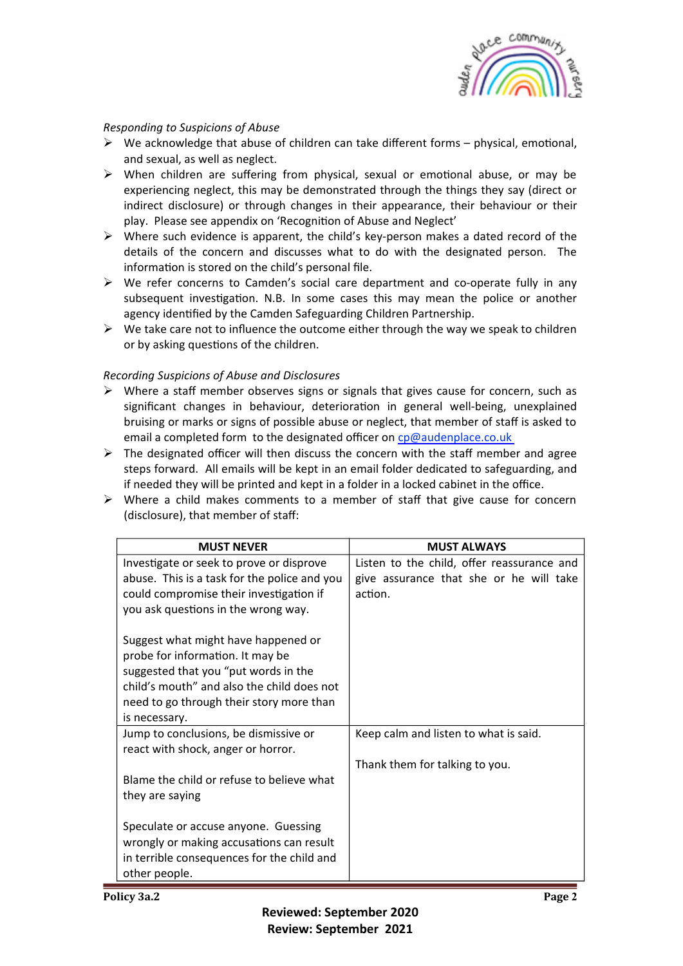

### *Responding to Suspicions of Abuse*

- $\triangleright$  We acknowledge that abuse of children can take different forms physical, emotional, and sexual, as well as neglect.
- $\triangleright$  When children are suffering from physical, sexual or emotional abuse, or may be experiencing neglect, this may be demonstrated through the things they say (direct or indirect disclosure) or through changes in their appearance, their behaviour or their play. Please see appendix on 'Recognition of Abuse and Neglect'
- $\triangleright$  Where such evidence is apparent, the child's key-person makes a dated record of the details of the concern and discusses what to do with the designated person. The information is stored on the child's personal file.
- $\triangleright$  We refer concerns to Camden's social care department and co-operate fully in any subsequent investigation. N.B. In some cases this may mean the police or another agency identified by the Camden Safeguarding Children Partnership.
- $\triangleright$  We take care not to influence the outcome either through the way we speak to children or by asking questions of the children.

# *Recording Suspicions of Abuse and Disclosures*

- $\triangleright$  Where a staff member observes signs or signals that gives cause for concern, such as significant changes in behaviour, deterioration in general well-being, unexplained bruising or marks or signs of possible abuse or neglect, that member of staff is asked to email a completed form to the designated officer on cp@audenplace.co.uk
- $\triangleright$  The designated officer will then discuss the concern with the staff member and agree steps forward. All emails will be kept in an email folder dedicated to safeguarding, and if needed they will be printed and kept in a folder in a locked cabinet in the office.
- $\triangleright$  Where a child makes comments to a member of staff that give cause for concern (disclosure), that member of staff:

| <b>MUST NEVER</b>                            | <b>MUST ALWAYS</b>                         |
|----------------------------------------------|--------------------------------------------|
| Investigate or seek to prove or disprove     | Listen to the child, offer reassurance and |
| abuse. This is a task for the police and you | give assurance that she or he will take    |
| could compromise their investigation if      | action.                                    |
| you ask questions in the wrong way.          |                                            |
|                                              |                                            |
| Suggest what might have happened or          |                                            |
| probe for information. It may be             |                                            |
| suggested that you "put words in the         |                                            |
| child's mouth" and also the child does not   |                                            |
| need to go through their story more than     |                                            |
| is necessary.                                |                                            |
| Jump to conclusions, be dismissive or        | Keep calm and listen to what is said.      |
| react with shock, anger or horror.           |                                            |
|                                              | Thank them for talking to you.             |
| Blame the child or refuse to believe what    |                                            |
| they are saying                              |                                            |
|                                              |                                            |
| Speculate or accuse anyone. Guessing         |                                            |
| wrongly or making accusations can result     |                                            |
| in terrible consequences for the child and   |                                            |
| other people.                                |                                            |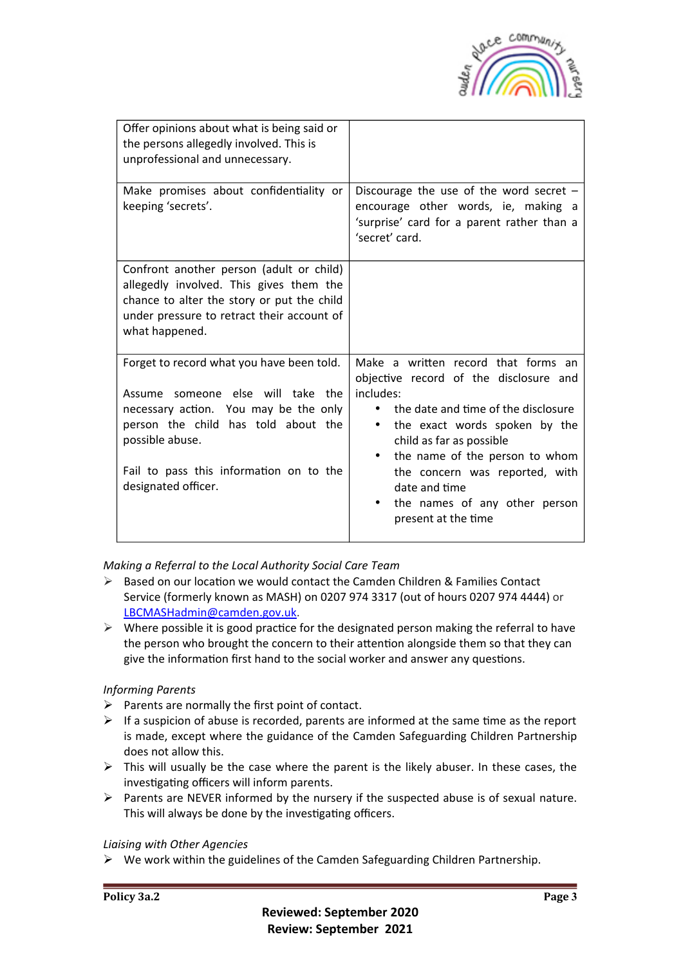

| Offer opinions about what is being said or<br>the persons allegedly involved. This is<br>unprofessional and unnecessary.                                                                                                                            |                                                                                                                                                                                                                                                                                                                                                                       |
|-----------------------------------------------------------------------------------------------------------------------------------------------------------------------------------------------------------------------------------------------------|-----------------------------------------------------------------------------------------------------------------------------------------------------------------------------------------------------------------------------------------------------------------------------------------------------------------------------------------------------------------------|
| Make promises about confidentiality or<br>keeping 'secrets'.                                                                                                                                                                                        | Discourage the use of the word secret $-$<br>encourage other words, ie, making a<br>'surprise' card for a parent rather than a<br>'secret' card.                                                                                                                                                                                                                      |
| Confront another person (adult or child)<br>allegedly involved. This gives them the<br>chance to alter the story or put the child<br>under pressure to retract their account of<br>what happened.                                                   |                                                                                                                                                                                                                                                                                                                                                                       |
| Forget to record what you have been told.<br>Assume someone else will take the<br>necessary action. You may be the only<br>person the child has told about the<br>possible abuse.<br>Fail to pass this information on to the<br>designated officer. | Make a written record that forms an<br>objective record of the disclosure and<br>includes:<br>the date and time of the disclosure<br>$\bullet$<br>the exact words spoken by the<br>$\bullet$<br>child as far as possible<br>the name of the person to whom<br>the concern was reported, with<br>date and time<br>the names of any other person<br>present at the time |

*Making a Referral to the Local Authority Social Care Team* 

- $\triangleright$  Based on our location we would contact the Camden Children & Families Contact Service (formerly known as MASH) on 0207 974 3317 (out of hours 0207 974 4444) or LBCMASHadmin@camden.gov.uk.
- $\triangleright$  Where possible it is good practice for the designated person making the referral to have the person who brought the concern to their attention alongside them so that they can give the information first hand to the social worker and answer any questions.

# *Informing Parents*

- $\triangleright$  Parents are normally the first point of contact.
- $\triangleright$  If a suspicion of abuse is recorded, parents are informed at the same time as the report is made, except where the guidance of the Camden Safeguarding Children Partnership does not allow this.
- $\triangleright$  This will usually be the case where the parent is the likely abuser. In these cases, the investigating officers will inform parents.
- $\triangleright$  Parents are NEVER informed by the nursery if the suspected abuse is of sexual nature. This will always be done by the investigating officers.

*Liaising with Other Agencies*

 $\triangleright$  We work within the guidelines of the Camden Safeguarding Children Partnership.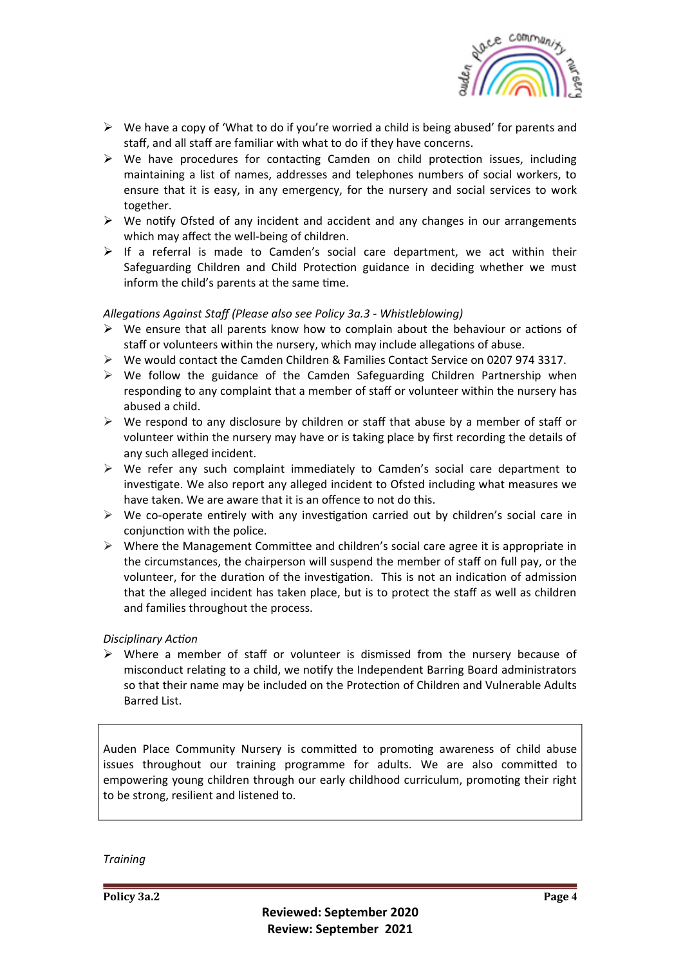

- $\triangleright$  We have a copy of 'What to do if you're worried a child is being abused' for parents and staff, and all staff are familiar with what to do if they have concerns.
- $\triangleright$  We have procedures for contacting Camden on child protection issues, including maintaining a list of names, addresses and telephones numbers of social workers, to ensure that it is easy, in any emergency, for the nursery and social services to work together.
- $\triangleright$  We notify Ofsted of any incident and accident and any changes in our arrangements which may affect the well-being of children.
- $\triangleright$  If a referral is made to Camden's social care department, we act within their Safeguarding Children and Child Protection guidance in deciding whether we must inform the child's parents at the same time.

#### Allegations Against Staff (Please also see Policy 3a.3 - Whistleblowing)

- $\triangleright$  We ensure that all parents know how to complain about the behaviour or actions of staff or volunteers within the nursery, which may include allegations of abuse.
- $\triangleright$  We would contact the Camden Children & Families Contact Service on 0207 974 3317.
- $\triangleright$  We follow the guidance of the Camden Safeguarding Children Partnership when responding to any complaint that a member of staff or volunteer within the nursery has abused a child.
- $\triangleright$  We respond to any disclosure by children or staff that abuse by a member of staff or volunteer within the nursery may have or is taking place by first recording the details of any such alleged incident.
- $\triangleright$  We refer any such complaint immediately to Camden's social care department to investigate. We also report any alleged incident to Ofsted including what measures we have taken. We are aware that it is an offence to not do this.
- $\triangleright$  We co-operate entirely with any investigation carried out by children's social care in conjunction with the police.
- $\triangleright$  Where the Management Committee and children's social care agree it is appropriate in the circumstances, the chairperson will suspend the member of staff on full pay, or the volunteer, for the duration of the investigation. This is not an indication of admission that the alleged incident has taken place, but is to protect the staff as well as children and families throughout the process.

#### **Disciplinary Action**

 $\triangleright$  Where a member of staff or volunteer is dismissed from the nursery because of misconduct relating to a child, we notify the Independent Barring Board administrators so that their name may be included on the Protection of Children and Vulnerable Adults Barred List.

Auden Place Community Nursery is committed to promoting awareness of child abuse issues throughout our training programme for adults. We are also committed to empowering young children through our early childhood curriculum, promoting their right to be strong, resilient and listened to.

*Training*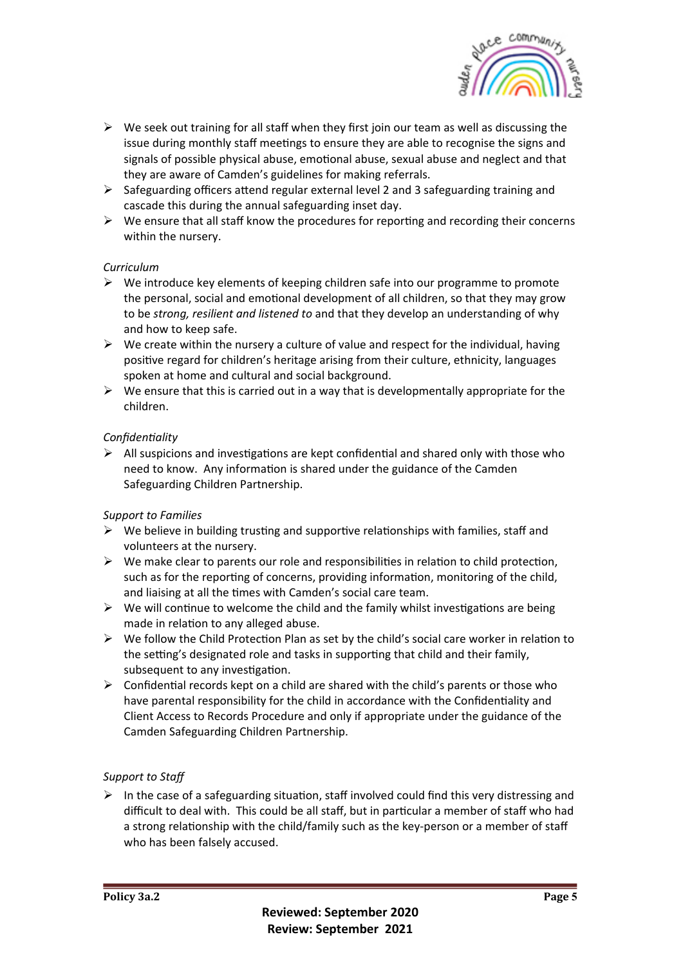

- $\triangleright$  We seek out training for all staff when they first join our team as well as discussing the issue during monthly staff meetings to ensure they are able to recognise the signs and signals of possible physical abuse, emotional abuse, sexual abuse and neglect and that they are aware of Camden's guidelines for making referrals.
- $\triangleright$  Safeguarding officers attend regular external level 2 and 3 safeguarding training and cascade this during the annual safeguarding inset day.
- $\triangleright$  We ensure that all staff know the procedures for reporting and recording their concerns within the nursery.

# *Curriculum*

- $\triangleright$  We introduce key elements of keeping children safe into our programme to promote the personal, social and emotional development of all children, so that they may grow to be *strong, resilient and listened to* and that they develop an understanding of why and how to keep safe.
- $\triangleright$  We create within the nursery a culture of value and respect for the individual, having positive regard for children's heritage arising from their culture, ethnicity, languages spoken at home and cultural and social background.
- $\triangleright$  We ensure that this is carried out in a way that is developmentally appropriate for the children.

# *ConfidenDality*

 $\triangleright$  All suspicions and investigations are kept confidential and shared only with those who need to know. Any information is shared under the guidance of the Camden Safeguarding Children Partnership.

# *Support to Families*

- $\triangleright$  We believe in building trusting and supportive relationships with families, staff and volunteers at the nursery.
- $\triangleright$  We make clear to parents our role and responsibilities in relation to child protection, such as for the reporting of concerns, providing information, monitoring of the child, and liaising at all the times with Camden's social care team.
- $\triangleright$  We will continue to welcome the child and the family whilst investigations are being made in relation to any alleged abuse.
- $\triangleright$  We follow the Child Protection Plan as set by the child's social care worker in relation to the setting's designated role and tasks in supporting that child and their family, subsequent to any investigation.
- $\triangleright$  Confidential records kept on a child are shared with the child's parents or those who have parental responsibility for the child in accordance with the Confidentiality and Client Access to Records Procedure and only if appropriate under the guidance of the Camden Safeguarding Children Partnership.

# Support to Staff

 $\triangleright$  In the case of a safeguarding situation, staff involved could find this very distressing and difficult to deal with. This could be all staff, but in particular a member of staff who had a strong relationship with the child/family such as the key-person or a member of staff who has been falsely accused.